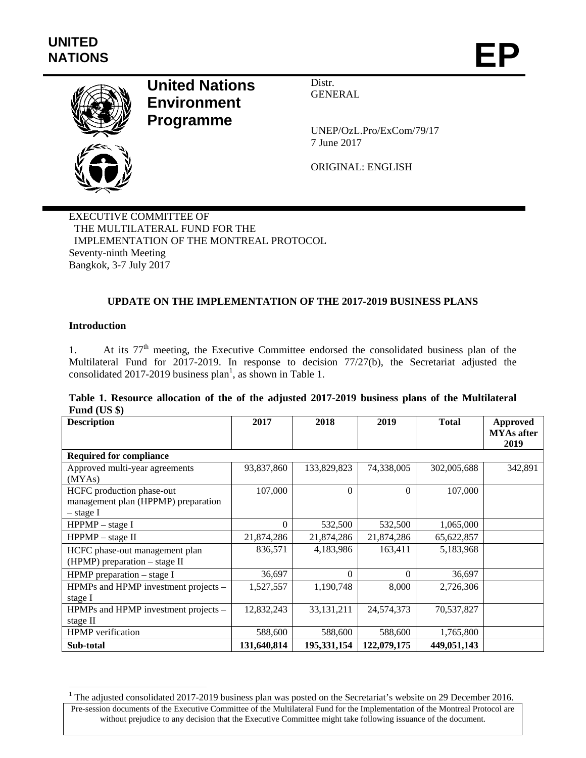

# **United Nations Environment Programme**

Distr. GENERAL

UNEP/OzL.Pro/ExCom/79/17 7 June 2017

ORIGINAL: ENGLISH

EXECUTIVE COMMITTEE OF THE MULTILATERAL FUND FOR THE IMPLEMENTATION OF THE MONTREAL PROTOCOL Seventy-ninth Meeting Bangkok, 3-7 July 2017

# **UPDATE ON THE IMPLEMENTATION OF THE 2017-2019 BUSINESS PLANS**

# **Introduction**

1. At its 77th meeting, the Executive Committee endorsed the consolidated business plan of the Multilateral Fund for 2017-2019. In response to decision 77/27(b), the Secretariat adjusted the consolidated 2017-2019 business plan<sup>1</sup>, as shown in Table 1.

|              |  |  |  |  | Table 1. Resource allocation of the of the adjusted 2017-2019 business plans of the Multilateral |
|--------------|--|--|--|--|--------------------------------------------------------------------------------------------------|
| Fund $(US \$ |  |  |  |  |                                                                                                  |

| <b>Description</b>                   | 2017        | 2018         | 2019        | <b>Total</b> | Approved<br><b>MYAs after</b> |
|--------------------------------------|-------------|--------------|-------------|--------------|-------------------------------|
|                                      |             |              |             |              | 2019                          |
| <b>Required for compliance</b>       |             |              |             |              |                               |
| Approved multi-year agreements       | 93,837,860  | 133,829,823  | 74,338,005  | 302,005,688  | 342,891                       |
| (MYAs)                               |             |              |             |              |                               |
| HCFC production phase-out            | 107,000     | $\theta$     | $\Omega$    | 107,000      |                               |
| management plan (HPPMP) preparation  |             |              |             |              |                               |
| – stage I                            |             |              |             |              |                               |
| $HPPMP - stage I$                    | $\Omega$    | 532,500      | 532,500     | 1,065,000    |                               |
| $HPPMP - stage II$                   | 21,874,286  | 21,874,286   | 21,874,286  | 65,622,857   |                               |
| HCFC phase-out management plan       | 836,571     | 4,183,986    | 163,411     | 5,183,968    |                               |
| $(HPMP)$ preparation – stage II      |             |              |             |              |                               |
| HPMP preparation $-$ stage I         | 36,697      | $\Omega$     | $\Omega$    | 36,697       |                               |
| HPMPs and HPMP investment projects - | 1,527,557   | 1,190,748    | 8,000       | 2,726,306    |                               |
| stage I                              |             |              |             |              |                               |
| HPMPs and HPMP investment projects - | 12,832,243  | 33, 131, 211 | 24,574,373  | 70,537,827   |                               |
| stage II                             |             |              |             |              |                               |
| <b>HPMP</b> verification             | 588,600     | 588,600      | 588,600     | 1,765,800    |                               |
| Sub-total                            | 131,640,814 | 195,331,154  | 122,079,175 | 449,051,143  |                               |

<sup>&</sup>lt;sup>1</sup> The adjusted consolidated 2017-2019 business plan was posted on the Secretariat's website on 29 December 2016.

Pre-session documents of the Executive Committee of the Multilateral Fund for the Implementation of the Montreal Protocol are without prejudice to any decision that the Executive Committee might take following issuance of the document.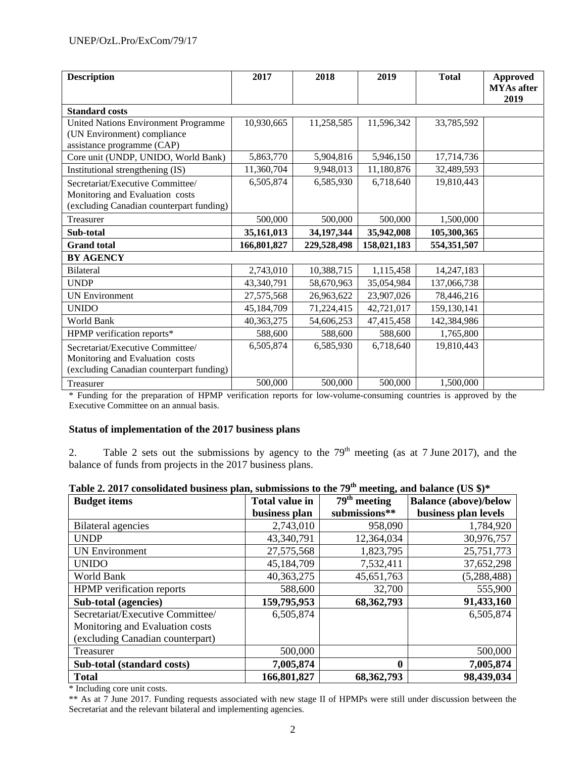| <b>Description</b>                                                                                                           | 2017                 | 2018                 | 2019                 | <b>Total</b>            | <b>Approved</b><br><b>MYAs</b> after |
|------------------------------------------------------------------------------------------------------------------------------|----------------------|----------------------|----------------------|-------------------------|--------------------------------------|
| <b>Standard costs</b>                                                                                                        |                      |                      |                      |                         | 2019                                 |
| <b>United Nations Environment Programme</b><br>(UN Environment) compliance<br>assistance programme (CAP)                     | 10,930,665           | 11,258,585           | 11,596,342           | 33,785,592              |                                      |
| Core unit (UNDP, UNIDO, World Bank)                                                                                          | 5,863,770            | 5,904,816            | 5,946,150            | 17,714,736              |                                      |
| Institutional strengthening (IS)                                                                                             | 11,360,704           | 9,948,013            | 11,180,876           | 32,489,593              |                                      |
| Secretariat/Executive Committee/<br>Monitoring and Evaluation costs<br>(excluding Canadian counterpart funding)              | 6,505,874            | 6,585,930            | 6,718,640            | 19,810,443              |                                      |
| Treasurer                                                                                                                    | 500,000              | 500,000              | 500,000              | 1,500,000               |                                      |
| Sub-total                                                                                                                    | 35,161,013           | 34, 197, 344         | 35,942,008           | 105,300,365             |                                      |
| <b>Grand</b> total                                                                                                           | 166,801,827          | 229,528,498          | 158,021,183          | 554,351,507             |                                      |
| <b>BY AGENCY</b>                                                                                                             |                      |                      |                      |                         |                                      |
| Bilateral                                                                                                                    | 2,743,010            | 10,388,715           | 1,115,458            | 14,247,183              |                                      |
| <b>UNDP</b>                                                                                                                  | 43,340,791           | 58,670,963           | 35,054,984           | 137,066,738             |                                      |
| <b>UN Environment</b>                                                                                                        | 27,575,568           | 26,963,622           | 23,907,026           | 78,446,216              |                                      |
| <b>UNIDO</b>                                                                                                                 | 45,184,709           | 71,224,415           | 42,721,017           | 159,130,141             |                                      |
| World Bank                                                                                                                   | 40, 363, 275         | 54,606,253           | 47,415,458           | 142,384,986             |                                      |
| HPMP verification reports*                                                                                                   | 588,600              | 588,600              | 588,600              | 1,765,800               |                                      |
| Secretariat/Executive Committee/<br>Monitoring and Evaluation costs<br>(excluding Canadian counterpart funding)<br>Treasurer | 6,505,874<br>500,000 | 6,585,930<br>500,000 | 6,718,640<br>500,000 | 19,810,443<br>1,500,000 |                                      |
|                                                                                                                              |                      |                      |                      |                         |                                      |

\* Funding for the preparation of HPMP verification reports for low-volume-consuming countries is approved by the Executive Committee on an annual basis.

# **Status of implementation of the 2017 business plans**

2. Table 2 sets out the submissions by agency to the  $79<sup>th</sup>$  meeting (as at 7 June 2017), and the balance of funds from projects in the 2017 business plans.

| <b>Budget items</b>              | <b>Total value in</b> | $\mathbf{C}^{\prime}$<br>$\overline{79}^{\text{th}}$ meeting | <b>Balance</b> (above)/below |
|----------------------------------|-----------------------|--------------------------------------------------------------|------------------------------|
|                                  | business plan         | submissions**                                                | business plan levels         |
| <b>Bilateral agencies</b>        | 2,743,010             | 958,090                                                      | 1,784,920                    |
| <b>UNDP</b>                      | 43,340,791            | 12,364,034                                                   | 30,976,757                   |
| <b>UN Environment</b>            | 27,575,568            | 1,823,795                                                    | 25,751,773                   |
| <b>UNIDO</b>                     | 45,184,709            | 7,532,411                                                    | 37,652,298                   |
| World Bank                       | 40,363,275            | 45,651,763                                                   | (5, 288, 488)                |
| <b>HPMP</b> verification reports | 588,600               | 32,700                                                       | 555,900                      |
| Sub-total (agencies)             | 159,795,953           | 68,362,793                                                   | 91,433,160                   |
| Secretariat/Executive Committee/ | 6,505,874             |                                                              | 6,505,874                    |
| Monitoring and Evaluation costs  |                       |                                                              |                              |
| (excluding Canadian counterpart) |                       |                                                              |                              |
| Treasurer                        | 500,000               |                                                              | 500,000                      |
| Sub-total (standard costs)       | 7,005,874             | 0                                                            | 7,005,874                    |
| <b>Total</b>                     | 166,801,827           | 68, 362, 793                                                 | 98,439,034                   |

| Table 2. 2017 consolidated business plan, submissions to the 79 <sup>th</sup> meeting, and balance (US \$)* |  |  |  |  |  |  |
|-------------------------------------------------------------------------------------------------------------|--|--|--|--|--|--|
|-------------------------------------------------------------------------------------------------------------|--|--|--|--|--|--|

\* Including core unit costs.

\*\* As at 7 June 2017. Funding requests associated with new stage II of HPMPs were still under discussion between the Secretariat and the relevant bilateral and implementing agencies.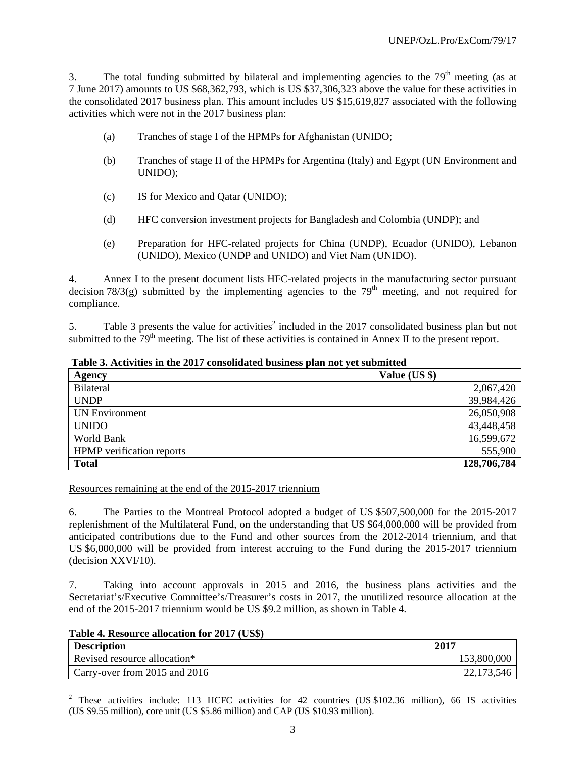3. The total funding submitted by bilateral and implementing agencies to the  $79<sup>th</sup>$  meeting (as at 7 June 2017) amounts to US \$68,362,793, which is US \$37,306,323 above the value for these activities in the consolidated 2017 business plan. This amount includes US \$15,619,827 associated with the following activities which were not in the 2017 business plan:

- (a) Tranches of stage I of the HPMPs for Afghanistan (UNIDO;
- (b) Tranches of stage II of the HPMPs for Argentina (Italy) and Egypt (UN Environment and UNIDO);
- (c) IS for Mexico and Qatar (UNIDO);
- (d) HFC conversion investment projects for Bangladesh and Colombia (UNDP); and
- (e) Preparation for HFC-related projects for China (UNDP), Ecuador (UNIDO), Lebanon (UNIDO), Mexico (UNDP and UNIDO) and Viet Nam (UNIDO).

4. Annex I to the present document lists HFC-related projects in the manufacturing sector pursuant decision  $78/3(g)$  submitted by the implementing agencies to the  $79<sup>th</sup>$  meeting, and not required for compliance.

5. Table 3 presents the value for activities<sup>2</sup> included in the 2017 consolidated business plan but not submitted to the  $79<sup>th</sup>$  meeting. The list of these activities is contained in Annex II to the present report.

| Agency                           | Value (US \$) |
|----------------------------------|---------------|
| Bilateral                        | 2,067,420     |
| <b>UNDP</b>                      | 39,984,426    |
| <b>UN Environment</b>            | 26,050,908    |
| <b>UNIDO</b>                     | 43,448,458    |
| World Bank                       | 16,599,672    |
| <b>HPMP</b> verification reports | 555,900       |
| <b>Total</b>                     | 128,706,784   |

 **Table 3. Activities in the 2017 consolidated business plan not yet submitted** 

Resources remaining at the end of the 2015-2017 triennium

6. The Parties to the Montreal Protocol adopted a budget of US \$507,500,000 for the 2015-2017 replenishment of the Multilateral Fund, on the understanding that US \$64,000,000 will be provided from anticipated contributions due to the Fund and other sources from the 2012-2014 triennium, and that US \$6,000,000 will be provided from interest accruing to the Fund during the 2015-2017 triennium (decision XXVI/10).

7. Taking into account approvals in 2015 and 2016, the business plans activities and the Secretariat's/Executive Committee's/Treasurer's costs in 2017, the unutilized resource allocation at the end of the 2015-2017 triennium would be US \$9.2 million, as shown in Table 4.

**Table 4. Resource allocation for 2017 (US\$)** 

l

| <b>Description</b>            | 2017        |
|-------------------------------|-------------|
| Revised resource allocation*  | 153,800,000 |
| Carry-over from 2015 and 2016 | 22,173,546  |

<sup>&</sup>lt;sup>2</sup> These activities include: 113 HCFC activities for 42 countries (US \$102.36 million), 66 IS activities (US \$9.55 million), core unit (US \$5.86 million) and CAP (US \$10.93 million).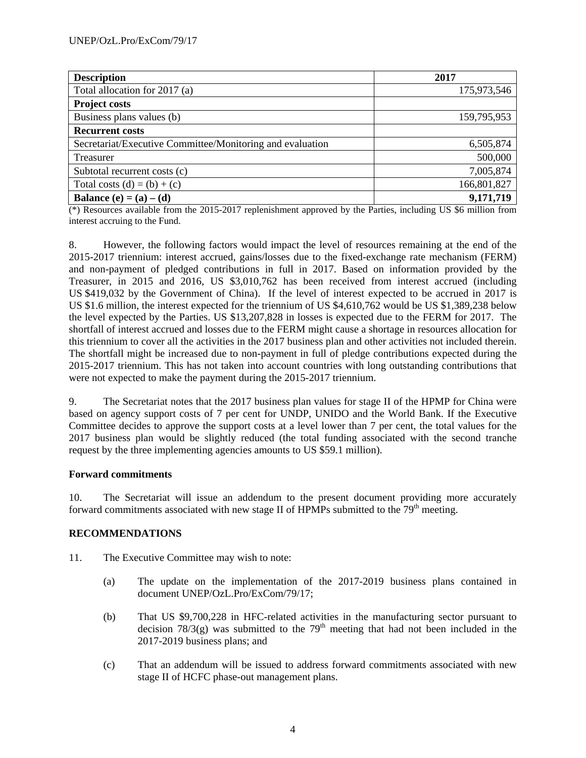| <b>Description</b>                                        | 2017        |
|-----------------------------------------------------------|-------------|
| Total allocation for 2017 (a)                             | 175,973,546 |
| <b>Project costs</b>                                      |             |
| Business plans values (b)                                 | 159,795,953 |
| <b>Recurrent costs</b>                                    |             |
| Secretariat/Executive Committee/Monitoring and evaluation | 6,505,874   |
| Treasurer                                                 | 500,000     |
| Subtotal recurrent costs (c)                              | 7,005,874   |
| Total costs $(d) = (b) + (c)$                             | 166,801,827 |
| Balance (e) = $(a) - (d)$                                 | 9,171,719   |

(\*) Resources available from the 2015-2017 replenishment approved by the Parties, including US \$6 million from interest accruing to the Fund.

8. However, the following factors would impact the level of resources remaining at the end of the 2015-2017 triennium: interest accrued, gains/losses due to the fixed-exchange rate mechanism (FERM) and non-payment of pledged contributions in full in 2017. Based on information provided by the Treasurer, in 2015 and 2016, US \$3,010,762 has been received from interest accrued (including US \$419,032 by the Government of China). If the level of interest expected to be accrued in 2017 is US \$1.6 million, the interest expected for the triennium of US \$4,610,762 would be US \$1,389,238 below the level expected by the Parties. US \$13,207,828 in losses is expected due to the FERM for 2017. The shortfall of interest accrued and losses due to the FERM might cause a shortage in resources allocation for this triennium to cover all the activities in the 2017 business plan and other activities not included therein. The shortfall might be increased due to non-payment in full of pledge contributions expected during the 2015-2017 triennium. This has not taken into account countries with long outstanding contributions that were not expected to make the payment during the 2015-2017 triennium.

9. The Secretariat notes that the 2017 business plan values for stage II of the HPMP for China were based on agency support costs of 7 per cent for UNDP, UNIDO and the World Bank. If the Executive Committee decides to approve the support costs at a level lower than 7 per cent, the total values for the 2017 business plan would be slightly reduced (the total funding associated with the second tranche request by the three implementing agencies amounts to US \$59.1 million).

# **Forward commitments**

10. The Secretariat will issue an addendum to the present document providing more accurately forward commitments associated with new stage II of HPMPs submitted to the  $79<sup>th</sup>$  meeting.

# **RECOMMENDATIONS**

- 11. The Executive Committee may wish to note:
	- (a) The update on the implementation of the 2017-2019 business plans contained in document UNEP/OzL.Pro/ExCom/79/17;
	- (b) That US \$9,700,228 in HFC-related activities in the manufacturing sector pursuant to decision  $78/3(g)$  was submitted to the  $79<sup>th</sup>$  meeting that had not been included in the 2017-2019 business plans; and
	- (c) That an addendum will be issued to address forward commitments associated with new stage II of HCFC phase-out management plans.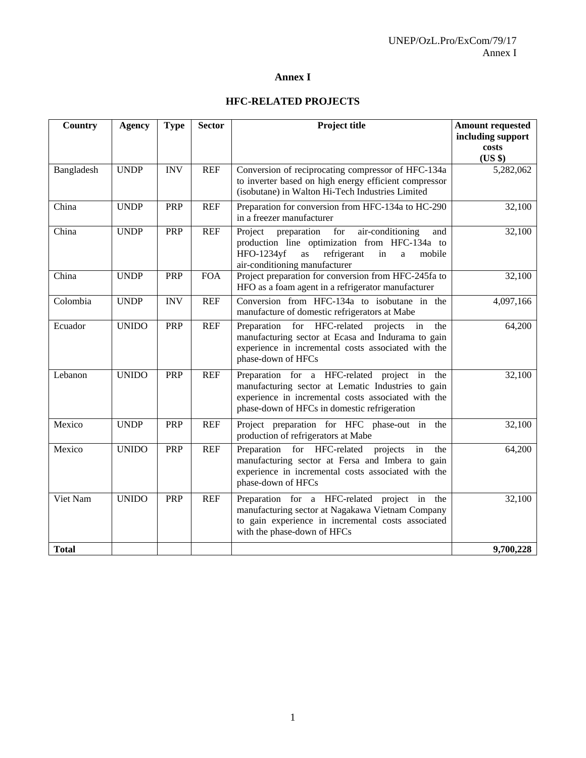# **Annex I**

# **HFC-RELATED PROJECTS**

| <b>Country</b> | <b>Agency</b> | <b>Type</b> | <b>Sector</b> | Project title                                                                                                                                                                                             | <b>Amount requested</b><br>including support |
|----------------|---------------|-------------|---------------|-----------------------------------------------------------------------------------------------------------------------------------------------------------------------------------------------------------|----------------------------------------------|
|                |               |             |               |                                                                                                                                                                                                           | costs<br>(US \$)                             |
| Bangladesh     | <b>UNDP</b>   | <b>INV</b>  | <b>REF</b>    | Conversion of reciprocating compressor of HFC-134a<br>to inverter based on high energy efficient compressor<br>(isobutane) in Walton Hi-Tech Industries Limited                                           | 5,282,062                                    |
| China          | <b>UNDP</b>   | PRP         | <b>REF</b>    | Preparation for conversion from HFC-134a to HC-290<br>in a freezer manufacturer                                                                                                                           | 32,100                                       |
| China          | <b>UNDP</b>   | PRP         | <b>REF</b>    | Project<br>preparation<br>for<br>air-conditioning<br>and<br>production line optimization from HFC-134a to<br>refrigerant<br>HFO-1234yf<br>as<br>in<br>a<br>mobile<br>air-conditioning manufacturer        | 32,100                                       |
| China          | <b>UNDP</b>   | PRP         | <b>FOA</b>    | Project preparation for conversion from HFC-245fa to<br>HFO as a foam agent in a refrigerator manufacturer                                                                                                | 32,100                                       |
| Colombia       | <b>UNDP</b>   | <b>INV</b>  | <b>REF</b>    | Conversion from HFC-134a to isobutane in the<br>manufacture of domestic refrigerators at Mabe                                                                                                             | 4,097,166                                    |
| Ecuador        | <b>UNIDO</b>  | PRP         | <b>REF</b>    | Preparation for HFC-related<br>projects<br>in<br>the<br>manufacturing sector at Ecasa and Indurama to gain<br>experience in incremental costs associated with the<br>phase-down of HFCs                   | 64,200                                       |
| Lebanon        | <b>UNIDO</b>  | PRP         | <b>REF</b>    | Preparation for a HFC-related project in the<br>manufacturing sector at Lematic Industries to gain<br>experience in incremental costs associated with the<br>phase-down of HFCs in domestic refrigeration | 32,100                                       |
| Mexico         | <b>UNDP</b>   | PRP         | <b>REF</b>    | Project preparation for HFC phase-out in the<br>production of refrigerators at Mabe                                                                                                                       | 32,100                                       |
| Mexico         | <b>UNIDO</b>  | <b>PRP</b>  | <b>REF</b>    | Preparation for HFC-related<br>projects<br>in<br>the<br>manufacturing sector at Fersa and Imbera to gain<br>experience in incremental costs associated with the<br>phase-down of HFCs                     | 64,200                                       |
| Viet Nam       | <b>UNIDO</b>  | PRP         | <b>REF</b>    | Preparation for a HFC-related project in the<br>manufacturing sector at Nagakawa Vietnam Company<br>to gain experience in incremental costs associated<br>with the phase-down of HFCs                     | 32,100                                       |
| <b>Total</b>   |               |             |               |                                                                                                                                                                                                           | 9,700,228                                    |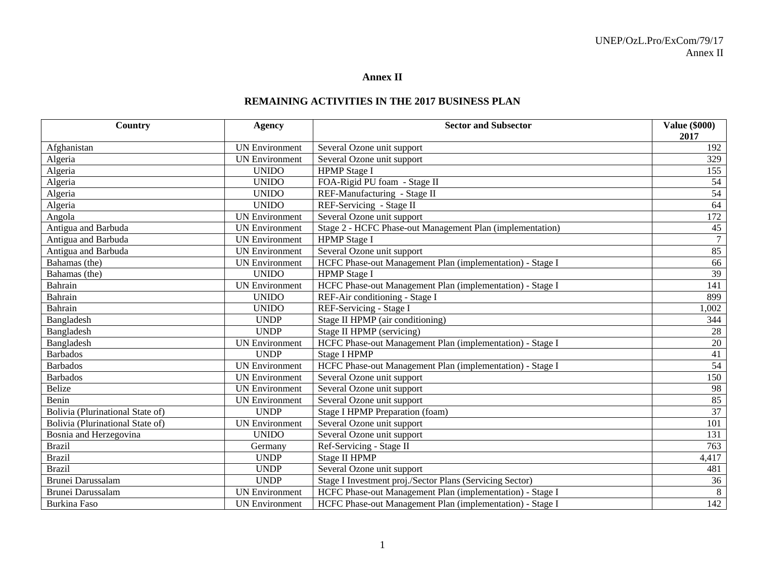#### **Annex II**

#### **REMAINING ACTIVITIES IN THE 2017 BUSINESS PLAN**

| Country                          | <b>Agency</b>         | <b>Sector and Subsector</b>                               | <b>Value (\$000)</b><br>2017 |
|----------------------------------|-----------------------|-----------------------------------------------------------|------------------------------|
| Afghanistan                      | <b>UN Environment</b> | Several Ozone unit support                                | 192                          |
| Algeria                          | <b>UN Environment</b> | Several Ozone unit support                                | 329                          |
| Algeria                          | <b>UNIDO</b>          | <b>HPMP</b> Stage I                                       | 155                          |
| Algeria                          | <b>UNIDO</b>          | FOA-Rigid PU foam - Stage II                              | 54                           |
| Algeria                          | <b>UNIDO</b>          | REF-Manufacturing - Stage II                              | 54                           |
| Algeria                          | <b>UNIDO</b>          | REF-Servicing - Stage II                                  | 64                           |
| Angola                           | <b>UN Environment</b> | Several Ozone unit support                                | 172                          |
| Antigua and Barbuda              | <b>UN Environment</b> | Stage 2 - HCFC Phase-out Management Plan (implementation) | $45\,$                       |
| Antigua and Barbuda              | <b>UN Environment</b> | <b>HPMP</b> Stage I                                       | $\overline{7}$               |
| Antigua and Barbuda              | <b>UN Environment</b> | Several Ozone unit support                                | 85                           |
| Bahamas (the)                    | <b>UN</b> Environment | HCFC Phase-out Management Plan (implementation) - Stage I | 66                           |
| Bahamas (the)                    | <b>UNIDO</b>          | <b>HPMP</b> Stage I                                       | 39                           |
| Bahrain                          | <b>UN Environment</b> | HCFC Phase-out Management Plan (implementation) - Stage I | 141                          |
| Bahrain                          | <b>UNIDO</b>          | REF-Air conditioning - Stage I                            | 899                          |
| Bahrain                          | <b>UNIDO</b>          | REF-Servicing - Stage I                                   | 1,002                        |
| Bangladesh                       | <b>UNDP</b>           | Stage II HPMP (air conditioning)                          | 344                          |
| Bangladesh                       | <b>UNDP</b>           | Stage II HPMP (servicing)                                 | 28                           |
| Bangladesh                       | <b>UN Environment</b> | HCFC Phase-out Management Plan (implementation) - Stage I | $20\,$                       |
| <b>Barbados</b>                  | <b>UNDP</b>           | <b>Stage I HPMP</b>                                       | $\overline{41}$              |
| <b>Barbados</b>                  | <b>UN Environment</b> | HCFC Phase-out Management Plan (implementation) - Stage I | 54                           |
| <b>Barbados</b>                  | <b>UN Environment</b> | Several Ozone unit support                                | 150                          |
| <b>Belize</b>                    | <b>UN Environment</b> | Several Ozone unit support                                | 98                           |
| Benin                            | <b>UN Environment</b> | Several Ozone unit support                                | 85                           |
| Bolivia (Plurinational State of) | <b>UNDP</b>           | Stage I HPMP Preparation (foam)                           | 37                           |
| Bolivia (Plurinational State of) | <b>UN</b> Environment | Several Ozone unit support                                | 101                          |
| Bosnia and Herzegovina           | <b>UNIDO</b>          | Several Ozone unit support                                | 131                          |
| <b>Brazil</b>                    | Germany               | Ref-Servicing - Stage II                                  | 763                          |
| <b>Brazil</b>                    | <b>UNDP</b>           | <b>Stage II HPMP</b>                                      | 4,417                        |
| <b>Brazil</b>                    | <b>UNDP</b>           | Several Ozone unit support                                | 481                          |
| Brunei Darussalam                | <b>UNDP</b>           | Stage I Investment proj./Sector Plans (Servicing Sector)  | 36                           |
| <b>Brunei Darussalam</b>         | <b>UN Environment</b> | HCFC Phase-out Management Plan (implementation) - Stage I | $\overline{8}$               |
| <b>Burkina Faso</b>              | <b>UN Environment</b> | HCFC Phase-out Management Plan (implementation) - Stage I | $\overline{142}$             |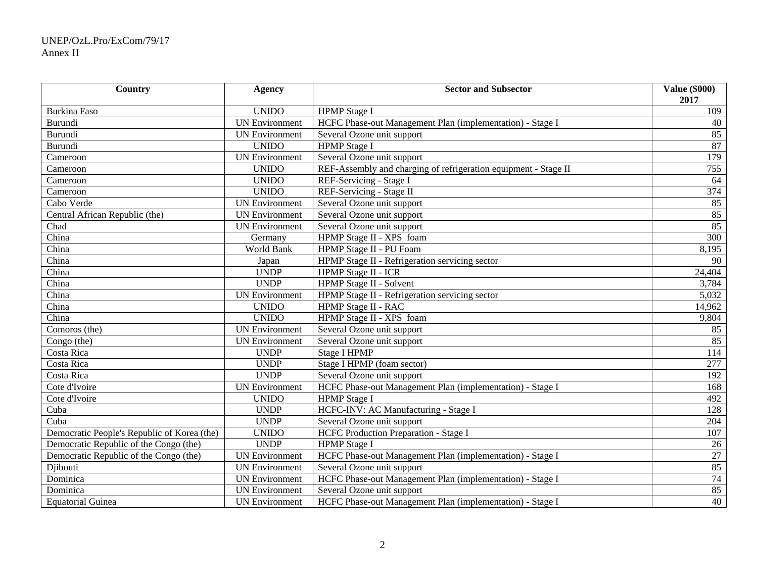# UNEP/OzL.Pro/ExCom/79/17 Annex II

| Country                                     | <b>Agency</b>         | <b>Sector and Subsector</b>                                     | <b>Value (\$000)</b><br>2017 |
|---------------------------------------------|-----------------------|-----------------------------------------------------------------|------------------------------|
| <b>Burkina Faso</b>                         | <b>UNIDO</b>          | <b>HPMP</b> Stage I                                             | 109                          |
| Burundi                                     | <b>UN Environment</b> | HCFC Phase-out Management Plan (implementation) - Stage I       | 40                           |
| <b>Burundi</b>                              | <b>UN Environment</b> | Several Ozone unit support                                      | 85                           |
| <b>Burundi</b>                              | <b>UNIDO</b>          | <b>HPMP</b> Stage I                                             | 87                           |
| Cameroon                                    | <b>UN Environment</b> | Several Ozone unit support                                      | 179                          |
| Cameroon                                    | <b>UNIDO</b>          | REF-Assembly and charging of refrigeration equipment - Stage II | 755                          |
| Cameroon                                    | <b>UNIDO</b>          | REF-Servicing - Stage I                                         | 64                           |
| Cameroon                                    | <b>UNIDO</b>          | REF-Servicing - Stage II                                        | 374                          |
| Cabo Verde                                  | <b>UN Environment</b> | Several Ozone unit support                                      | 85                           |
| Central African Republic (the)              | <b>UN</b> Environment | Several Ozone unit support                                      | 85                           |
| Chad                                        | <b>UN Environment</b> | Several Ozone unit support                                      | 85                           |
| China                                       | Germany               | HPMP Stage II - XPS foam                                        | $\overline{300}$             |
| China                                       | World Bank            | HPMP Stage II - PU Foam                                         | 8,195                        |
| China                                       | Japan                 | HPMP Stage II - Refrigeration servicing sector                  | 90                           |
| China                                       | <b>UNDP</b>           | HPMP Stage II - ICR                                             | 24,404                       |
| China                                       | <b>UNDP</b>           | <b>HPMP Stage II - Solvent</b>                                  | 3,784                        |
| China                                       | <b>UN Environment</b> | HPMP Stage II - Refrigeration servicing sector                  | $\overline{5,032}$           |
| China                                       | <b>UNIDO</b>          | HPMP Stage II - RAC                                             | 14,962                       |
| China                                       | <b>UNIDO</b>          | HPMP Stage II - XPS foam                                        | 9,804                        |
| Comoros (the)                               | <b>UN Environment</b> | Several Ozone unit support                                      | 85                           |
| Congo (the)                                 | <b>UN Environment</b> | Several Ozone unit support                                      | 85                           |
| Costa Rica                                  | <b>UNDP</b>           | <b>Stage I HPMP</b>                                             | 114                          |
| Costa Rica                                  | <b>UNDP</b>           | Stage I HPMP (foam sector)                                      | 277                          |
| Costa Rica                                  | <b>UNDP</b>           | Several Ozone unit support                                      | 192                          |
| Cote d'Ivoire                               | <b>UN Environment</b> | HCFC Phase-out Management Plan (implementation) - Stage I       | 168                          |
| Cote d'Ivoire                               | <b>UNIDO</b>          | <b>HPMP</b> Stage I                                             | 492                          |
| Cuba                                        | <b>UNDP</b>           | HCFC-INV: AC Manufacturing - Stage I                            | 128                          |
| Cuba                                        | <b>UNDP</b>           | Several Ozone unit support                                      | 204                          |
| Democratic People's Republic of Korea (the) | <b>UNIDO</b>          | <b>HCFC Production Preparation - Stage I</b>                    | 107                          |
| Democratic Republic of the Congo (the)      | <b>UNDP</b>           | <b>HPMP</b> Stage I                                             | 26                           |
| Democratic Republic of the Congo (the)      | <b>UN Environment</b> | HCFC Phase-out Management Plan (implementation) - Stage I       | 27                           |
| Djibouti                                    | <b>UN Environment</b> | Several Ozone unit support                                      | 85                           |
| Dominica                                    | <b>UN Environment</b> | HCFC Phase-out Management Plan (implementation) - Stage I       | 74                           |
| Dominica                                    | <b>UN Environment</b> | Several Ozone unit support                                      | 85                           |
| <b>Equatorial Guinea</b>                    | <b>UN Environment</b> | HCFC Phase-out Management Plan (implementation) - Stage I       | 40                           |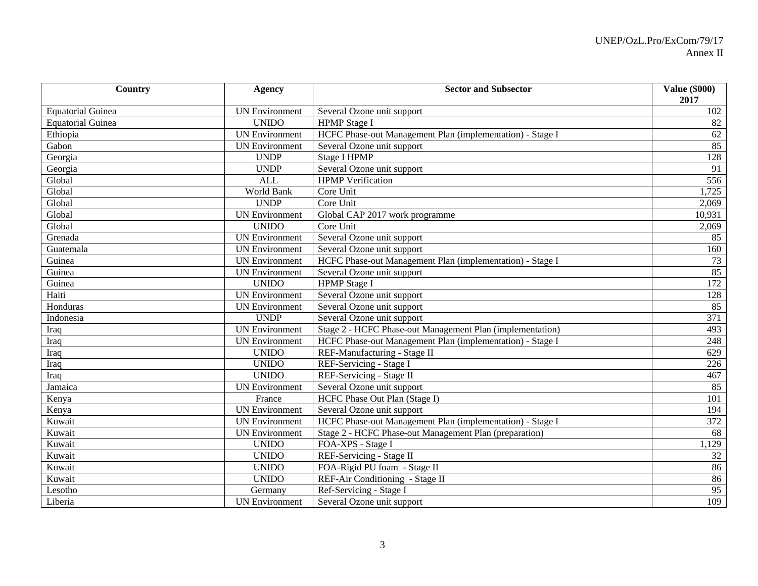| Country                  | <b>Agency</b>         | <b>Sector and Subsector</b>                               | <b>Value (\$000)</b><br>2017 |
|--------------------------|-----------------------|-----------------------------------------------------------|------------------------------|
| <b>Equatorial Guinea</b> | <b>UN Environment</b> | Several Ozone unit support                                | 102                          |
| <b>Equatorial Guinea</b> | <b>UNIDO</b>          | <b>HPMP</b> Stage I                                       | 82                           |
| Ethiopia                 | <b>UN Environment</b> | HCFC Phase-out Management Plan (implementation) - Stage I | 62                           |
| Gabon                    | <b>UN</b> Environment | Several Ozone unit support                                | 85                           |
| Georgia                  | <b>UNDP</b>           | <b>Stage I HPMP</b>                                       | 128                          |
| Georgia                  | <b>UNDP</b>           | Several Ozone unit support                                | 91                           |
| Global                   | <b>ALL</b>            | <b>HPMP</b> Verification                                  | 556                          |
| Global                   | World Bank            | Core Unit                                                 | 1,725                        |
| Global                   | <b>UNDP</b>           | Core Unit                                                 | 2,069                        |
| Global                   | <b>UN Environment</b> | Global CAP 2017 work programme                            | 10,931                       |
| Global                   | <b>UNIDO</b>          | Core Unit                                                 | 2,069                        |
| Grenada                  | <b>UN Environment</b> | Several Ozone unit support                                | 85                           |
| Guatemala                | <b>UN Environment</b> | Several Ozone unit support                                | 160                          |
| Guinea                   | <b>UN</b> Environment | HCFC Phase-out Management Plan (implementation) - Stage I | 73                           |
| Guinea                   | <b>UN</b> Environment | Several Ozone unit support                                | 85                           |
| Guinea                   | <b>UNIDO</b>          | <b>HPMP</b> Stage I                                       | 172                          |
| Haiti                    | <b>UN Environment</b> | Several Ozone unit support                                | 128                          |
| Honduras                 | <b>UN Environment</b> | Several Ozone unit support                                | 85                           |
| Indonesia                | <b>UNDP</b>           | Several Ozone unit support                                | 371                          |
| Iraq                     | <b>UN</b> Environment | Stage 2 - HCFC Phase-out Management Plan (implementation) | 493                          |
| Iraq                     | <b>UN Environment</b> | HCFC Phase-out Management Plan (implementation) - Stage I | 248                          |
| Iraq                     | <b>UNIDO</b>          | REF-Manufacturing - Stage II                              | 629                          |
| Iraq                     | <b>UNIDO</b>          | REF-Servicing - Stage I                                   | 226                          |
| Iraq                     | <b>UNIDO</b>          | REF-Servicing - Stage II                                  | 467                          |
| Jamaica                  | <b>UN Environment</b> | Several Ozone unit support                                | 85                           |
| Kenya                    | France                | HCFC Phase Out Plan (Stage I)                             | 101                          |
| Kenya                    | <b>UN Environment</b> | Several Ozone unit support                                | 194                          |
| Kuwait                   | <b>UN Environment</b> | HCFC Phase-out Management Plan (implementation) - Stage I | 372                          |
| Kuwait                   | <b>UN Environment</b> | Stage 2 - HCFC Phase-out Management Plan (preparation)    | 68                           |
| Kuwait                   | <b>UNIDO</b>          | FOA-XPS - Stage I                                         | 1,129                        |
| Kuwait                   | <b>UNIDO</b>          | REF-Servicing - Stage II                                  | 32                           |
| Kuwait                   | <b>UNIDO</b>          | FOA-Rigid PU foam - Stage II                              | 86                           |
| Kuwait                   | <b>UNIDO</b>          | REF-Air Conditioning - Stage II                           | 86                           |
| Lesotho                  | Germany               | Ref-Servicing - Stage I                                   | 95                           |
| Liberia                  | <b>UN Environment</b> | Several Ozone unit support                                | 109                          |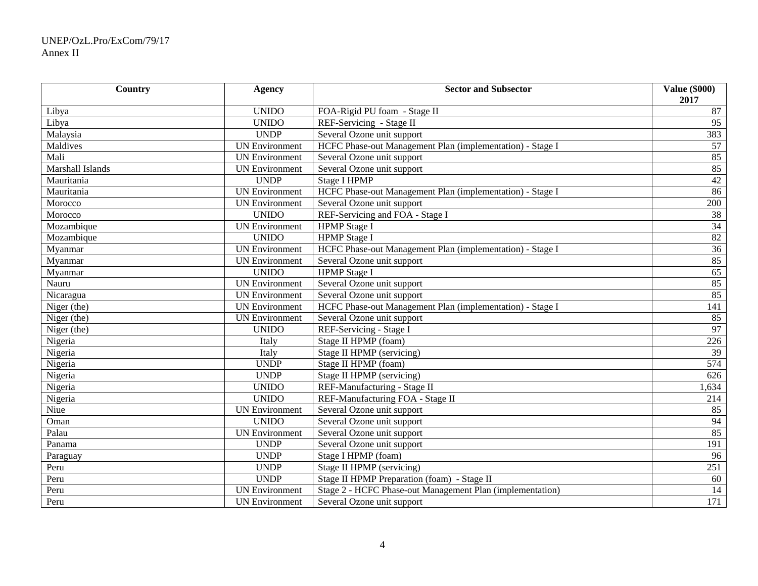# UNEP/OzL.Pro/ExCom/79/17 Annex II

| Country          | <b>Agency</b>         | <b>Sector and Subsector</b>                               | <b>Value (\$000)</b><br>2017 |
|------------------|-----------------------|-----------------------------------------------------------|------------------------------|
| Libya            | <b>UNIDO</b>          | FOA-Rigid PU foam - Stage II                              | 87                           |
| Libya            | <b>UNIDO</b>          | REF-Servicing - Stage II                                  | 95                           |
| Malaysia         | <b>UNDP</b>           | Several Ozone unit support                                | 383                          |
| Maldives         | <b>UN Environment</b> | HCFC Phase-out Management Plan (implementation) - Stage I | 57                           |
| Mali             | <b>UN Environment</b> | Several Ozone unit support                                | 85                           |
| Marshall Islands | <b>UN Environment</b> | Several Ozone unit support                                | 85                           |
| Mauritania       | <b>UNDP</b>           | <b>Stage I HPMP</b>                                       | 42                           |
| Mauritania       | <b>UN Environment</b> | HCFC Phase-out Management Plan (implementation) - Stage I | 86                           |
| Morocco          | <b>UN Environment</b> | Several Ozone unit support                                | 200                          |
| Morocco          | <b>UNIDO</b>          | REF-Servicing and FOA - Stage I                           | 38                           |
| Mozambique       | <b>UN Environment</b> | <b>HPMP</b> Stage I                                       | 34                           |
| Mozambique       | <b>UNIDO</b>          | <b>HPMP</b> Stage I                                       | 82                           |
| Myanmar          | <b>UN Environment</b> | HCFC Phase-out Management Plan (implementation) - Stage I | 36                           |
| Myanmar          | <b>UN Environment</b> | Several Ozone unit support                                | 85                           |
| Myanmar          | <b>UNIDO</b>          | <b>HPMP</b> Stage I                                       | 65                           |
| Nauru            | <b>UN</b> Environment | Several Ozone unit support                                | 85                           |
| Nicaragua        | <b>UN Environment</b> | Several Ozone unit support                                | 85                           |
| Niger (the)      | <b>UN Environment</b> | HCFC Phase-out Management Plan (implementation) - Stage I | 141                          |
| Niger (the)      | <b>UN Environment</b> | Several Ozone unit support                                | 85                           |
| Niger (the)      | <b>UNIDO</b>          | REF-Servicing - Stage I                                   | 97                           |
| Nigeria          | Italy                 | Stage II HPMP (foam)                                      | 226                          |
| Nigeria          | Italy                 | Stage II HPMP (servicing)                                 | $\overline{39}$              |
| Nigeria          | <b>UNDP</b>           | Stage II HPMP (foam)                                      | $\overline{574}$             |
| Nigeria          | <b>UNDP</b>           | Stage II HPMP (servicing)                                 | 626                          |
| Nigeria          | <b>UNIDO</b>          | REF-Manufacturing - Stage II                              | 1,634                        |
| Nigeria          | <b>UNIDO</b>          | REF-Manufacturing FOA - Stage II                          | 214                          |
| Niue             | <b>UN Environment</b> | Several Ozone unit support                                | 85                           |
| Oman             | <b>UNIDO</b>          | Several Ozone unit support                                | 94                           |
| Palau            | <b>UN Environment</b> | Several Ozone unit support                                | 85                           |
| Panama           | <b>UNDP</b>           | Several Ozone unit support                                | 191                          |
| Paraguay         | <b>UNDP</b>           | Stage I HPMP (foam)                                       | 96                           |
| Peru             | <b>UNDP</b>           | Stage II HPMP (servicing)                                 | 251                          |
| Peru             | <b>UNDP</b>           | Stage II HPMP Preparation (foam) - Stage II               | 60                           |
| Peru             | <b>UN Environment</b> | Stage 2 - HCFC Phase-out Management Plan (implementation) | 14                           |
| Peru             | <b>UN Environment</b> | Several Ozone unit support                                | 171                          |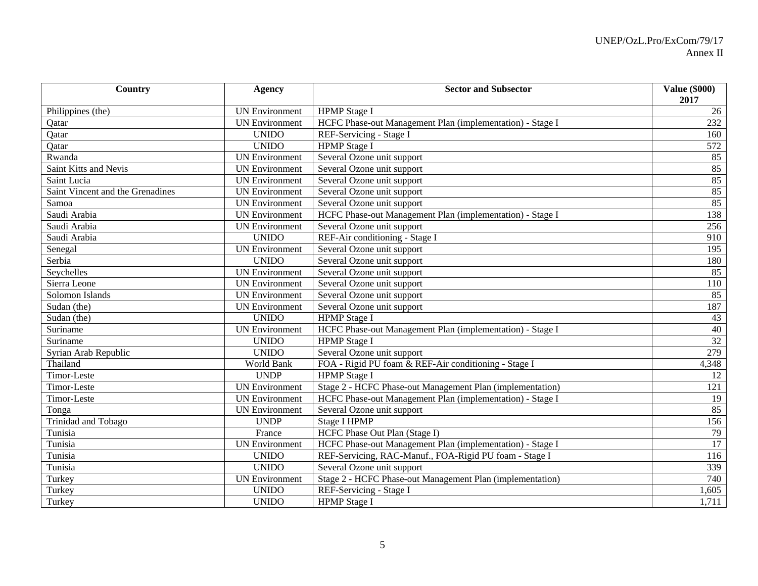| Country                          | <b>Agency</b>         | <b>Sector and Subsector</b>                               | <b>Value (\$000)</b><br>2017 |
|----------------------------------|-----------------------|-----------------------------------------------------------|------------------------------|
| Philippines (the)                | <b>UN Environment</b> | <b>HPMP</b> Stage I                                       | 26                           |
| Qatar                            | <b>UN Environment</b> | HCFC Phase-out Management Plan (implementation) - Stage I | 232                          |
| Qatar                            | <b>UNIDO</b>          | REF-Servicing - Stage I                                   | 160                          |
| Qatar                            | <b>UNIDO</b>          | <b>HPMP</b> Stage I                                       | 572                          |
| Rwanda                           | <b>UN Environment</b> | Several Ozone unit support                                | 85                           |
| Saint Kitts and Nevis            | <b>UN Environment</b> | Several Ozone unit support                                | 85                           |
| Saint Lucia                      | <b>UN Environment</b> | Several Ozone unit support                                | 85                           |
| Saint Vincent and the Grenadines | <b>UN Environment</b> | Several Ozone unit support                                | $\frac{85}{85}$              |
| Samoa                            | <b>UN Environment</b> | Several Ozone unit support                                |                              |
| Saudi Arabia                     | <b>UN</b> Environment | HCFC Phase-out Management Plan (implementation) - Stage I | 138                          |
| Saudi Arabia                     | <b>UN Environment</b> | Several Ozone unit support                                | 256                          |
| Saudi Arabia                     | <b>UNIDO</b>          | REF-Air conditioning - Stage I                            | 910                          |
| Senegal                          | <b>UN Environment</b> | Several Ozone unit support                                | 195                          |
| Serbia                           | <b>UNIDO</b>          | Several Ozone unit support                                | 180                          |
| Seychelles                       | <b>UN</b> Environment | Several Ozone unit support                                | 85                           |
| Sierra Leone                     | <b>UN</b> Environment | Several Ozone unit support                                | 110                          |
| Solomon Islands                  | <b>UN Environment</b> | Several Ozone unit support                                | 85                           |
| Sudan (the)                      | <b>UN</b> Environment | Several Ozone unit support                                | 187                          |
| Sudan (the)                      | <b>UNIDO</b>          | <b>HPMP</b> Stage I                                       | 43                           |
| Suriname                         | <b>UN Environment</b> | HCFC Phase-out Management Plan (implementation) - Stage I | $40\,$                       |
| Suriname                         | <b>UNIDO</b>          | <b>HPMP</b> Stage I                                       | $\overline{32}$              |
| Syrian Arab Republic             | <b>UNIDO</b>          | Several Ozone unit support                                | 279                          |
| Thailand                         | World Bank            | FOA - Rigid PU foam & REF-Air conditioning - Stage I      | 4,348                        |
| Timor-Leste                      | <b>UNDP</b>           | <b>HPMP</b> Stage I                                       | 12                           |
| Timor-Leste                      | <b>UN Environment</b> | Stage 2 - HCFC Phase-out Management Plan (implementation) | $\overline{121}$             |
| Timor-Leste                      | <b>UN Environment</b> | HCFC Phase-out Management Plan (implementation) - Stage I | $\overline{19}$              |
| Tonga                            | <b>UN Environment</b> | Several Ozone unit support                                | 85                           |
| Trinidad and Tobago              | <b>UNDP</b>           | <b>Stage I HPMP</b>                                       | 156                          |
| Tunisia                          | France                | HCFC Phase Out Plan (Stage I)                             | 79                           |
| Tunisia                          | <b>UN Environment</b> | HCFC Phase-out Management Plan (implementation) - Stage I | 17                           |
| Tunisia                          | <b>UNIDO</b>          | REF-Servicing, RAC-Manuf., FOA-Rigid PU foam - Stage I    | 116                          |
| Tunisia                          | <b>UNIDO</b>          | Several Ozone unit support                                | 339                          |
| Turkey                           | <b>UN Environment</b> | Stage 2 - HCFC Phase-out Management Plan (implementation) | 740                          |
| Turkey                           | <b>UNIDO</b>          | REF-Servicing - Stage I                                   | 1,605                        |
| Turkey                           | <b>UNIDO</b>          | <b>HPMP</b> Stage I                                       | 1,711                        |